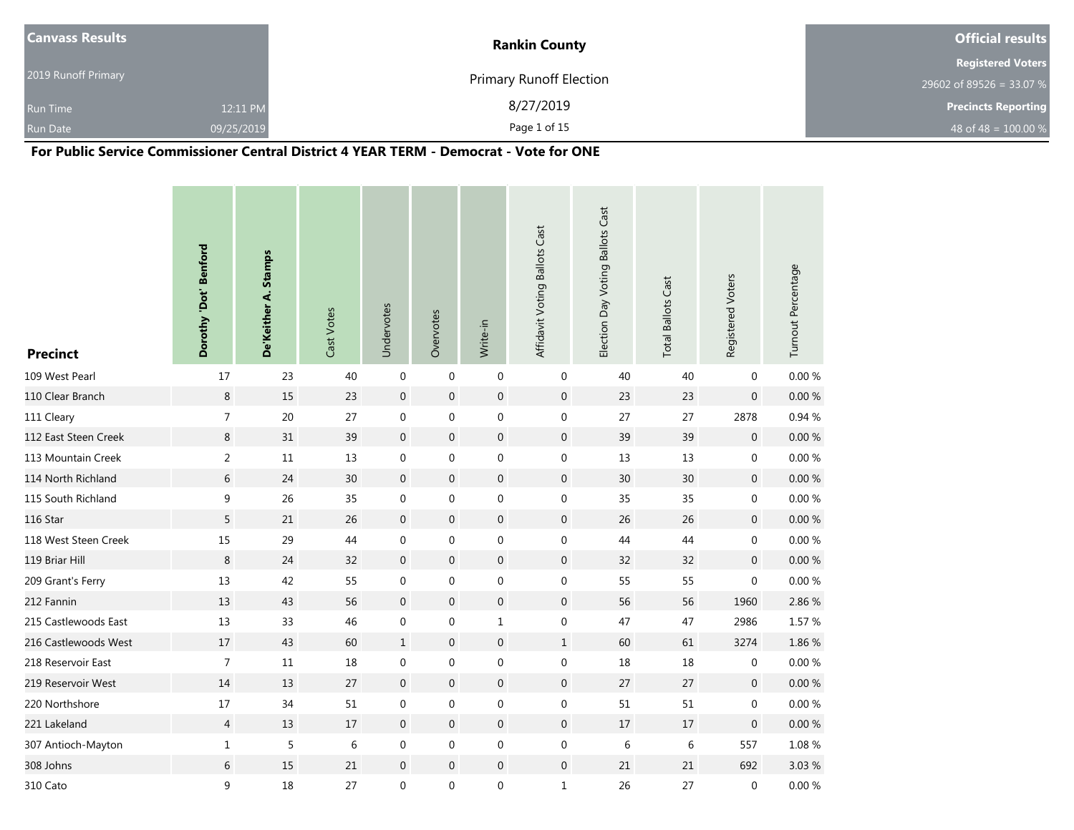| <b>Canvass Results</b> |            | <b>Rankin County</b>           | <b>Official results</b>    |
|------------------------|------------|--------------------------------|----------------------------|
|                        |            |                                | <b>Registered Voters</b>   |
| 2019 Runoff Primary    |            | <b>Primary Runoff Election</b> | 29602 of 89526 = 33.07 %   |
| <b>Run Time</b>        | 12:11 PM   | 8/27/2019                      | <b>Precincts Reporting</b> |
| <b>Run Date</b>        | 09/25/2019 | Page 1 of 15                   | 48 of 48 = $100.00\%$      |

### **For Public Service Commissioner Central District 4 YEAR TERM - Democrat - Vote for ONE**

| <b>Precinct</b>      | Dorothy 'Dot' Benford | De'Keither A. Stamps | Cast Votes | Undervotes       | Overvotes        | Write-in         | Affidavit Voting Ballots Cast | Election Day Voting Ballots Cast | <b>Total Ballots Cast</b> | Registered Voters | Turnout Percentage |
|----------------------|-----------------------|----------------------|------------|------------------|------------------|------------------|-------------------------------|----------------------------------|---------------------------|-------------------|--------------------|
| 109 West Pearl       | $17$                  | 23                   | 40         | $\mathbf 0$      | $\mathbf 0$      | $\mathbf 0$      | $\mathbf 0$                   | 40                               | 40                        | $\mathbf 0$       | 0.00 %             |
| 110 Clear Branch     | $\,8\,$               | 15                   | 23         | $\boldsymbol{0}$ | $\boldsymbol{0}$ | $\boldsymbol{0}$ | $\mathbf 0$                   | 23                               | 23                        | $\boldsymbol{0}$  | 0.00%              |
| 111 Cleary           | $\overline{7}$        | $20\,$               | 27         | $\boldsymbol{0}$ | 0                | $\boldsymbol{0}$ | $\boldsymbol{0}$              | 27                               | 27                        | 2878              | 0.94 %             |
| 112 East Steen Creek | $\,8\,$               | 31                   | 39         | $\boldsymbol{0}$ | $\boldsymbol{0}$ | $\boldsymbol{0}$ | $\mathbf 0$                   | 39                               | 39                        | $\boldsymbol{0}$  | $0.00\ \%$         |
| 113 Mountain Creek   | $\overline{2}$        | $11\,$               | 13         | $\boldsymbol{0}$ | $\mathbf 0$      | $\boldsymbol{0}$ | $\boldsymbol{0}$              | 13                               | 13                        | $\mathbf 0$       | $0.00\ \%$         |
| 114 North Richland   | $6\,$                 | 24                   | 30         | $\boldsymbol{0}$ | $\mathbf 0$      | $\boldsymbol{0}$ | $\mathbf 0$                   | $30\,$                           | $30\,$                    | $\boldsymbol{0}$  | $0.00\ \%$         |
| 115 South Richland   | 9                     | 26                   | 35         | $\boldsymbol{0}$ | $\boldsymbol{0}$ | $\boldsymbol{0}$ | $\boldsymbol{0}$              | 35                               | 35                        | $\boldsymbol{0}$  | $0.00\ \%$         |
| 116 Star             | 5                     | 21                   | 26         | $\mathbf 0$      | $\overline{0}$   | $\boldsymbol{0}$ | $\mathbf 0$                   | 26                               | $26\,$                    | $\boldsymbol{0}$  | $0.00~\%$          |
| 118 West Steen Creek | 15                    | 29                   | 44         | $\boldsymbol{0}$ | $\mathbf 0$      | $\boldsymbol{0}$ | $\boldsymbol{0}$              | 44                               | 44                        | $\boldsymbol{0}$  | $0.00\ \%$         |
| 119 Briar Hill       | $\,8\,$               | 24                   | 32         | $\mathbf 0$      | $\boldsymbol{0}$ | $\boldsymbol{0}$ | $\boldsymbol{0}$              | 32                               | 32                        | $\mathbf 0$       | $0.00 \%$          |
| 209 Grant's Ferry    | 13                    | 42                   | 55         | $\boldsymbol{0}$ | $\boldsymbol{0}$ | $\boldsymbol{0}$ | $\boldsymbol{0}$              | 55                               | 55                        | $\mathbf 0$       | $0.00\ \%$         |
| 212 Fannin           | 13                    | 43                   | 56         | $\boldsymbol{0}$ | $\pmb{0}$        | $\boldsymbol{0}$ | $\boldsymbol{0}$              | 56                               | 56                        | 1960              | 2.86 %             |
| 215 Castlewoods East | 13                    | 33                   | 46         | $\boldsymbol{0}$ | $\pmb{0}$        | $\mathbf{1}$     | $\boldsymbol{0}$              | 47                               | 47                        | 2986              | 1.57 %             |
| 216 Castlewoods West | $17\,$                | 43                   | 60         | $\mathbf{1}$     | $\boldsymbol{0}$ | $\boldsymbol{0}$ | $1\,$                         | 60                               | 61                        | 3274              | 1.86 %             |
| 218 Reservoir East   | $\overline{7}$        | $11\,$               | 18         | $\boldsymbol{0}$ | 0                | $\boldsymbol{0}$ | $\boldsymbol{0}$              | 18                               | $18\,$                    | 0                 | $0.00 \%$          |
| 219 Reservoir West   | 14                    | 13                   | 27         | $\mathbf 0$      | $\mathbf 0$      | $\boldsymbol{0}$ | $\boldsymbol{0}$              | 27                               | 27                        | $\mathbf 0$       | $0.00 \%$          |
| 220 Northshore       | $17\,$                | 34                   | 51         | $\mathbf 0$      | 0                | $\boldsymbol{0}$ | $\boldsymbol{0}$              | 51                               | 51                        | 0                 | $0.00 \%$          |
| 221 Lakeland         | $\overline{4}$        | 13                   | 17         | $\boldsymbol{0}$ | $\boldsymbol{0}$ | $\boldsymbol{0}$ | $\mathbf 0$                   | 17                               | 17                        | $\mathbf 0$       | $0.00 \%$          |
| 307 Antioch-Mayton   | $1\,$                 | 5                    | 6          | $\boldsymbol{0}$ | $\boldsymbol{0}$ | $\boldsymbol{0}$ | $\boldsymbol{0}$              | $\,$ 6 $\,$                      | $\,$ 6 $\,$               | 557               | $1.08~\%$          |
| 308 Johns            | 6                     | 15                   | 21         | $\mathbf 0$      | $\mathbf 0$      | $\boldsymbol{0}$ | $\boldsymbol{0}$              | 21                               | 21                        | 692               | 3.03 %             |
| 310 Cato             | 9                     | 18                   | 27         | $\boldsymbol{0}$ | $\pmb{0}$        | $\boldsymbol{0}$ | $\mathbf{1}$                  | 26                               | 27                        | 0                 | $0.00\ \%$         |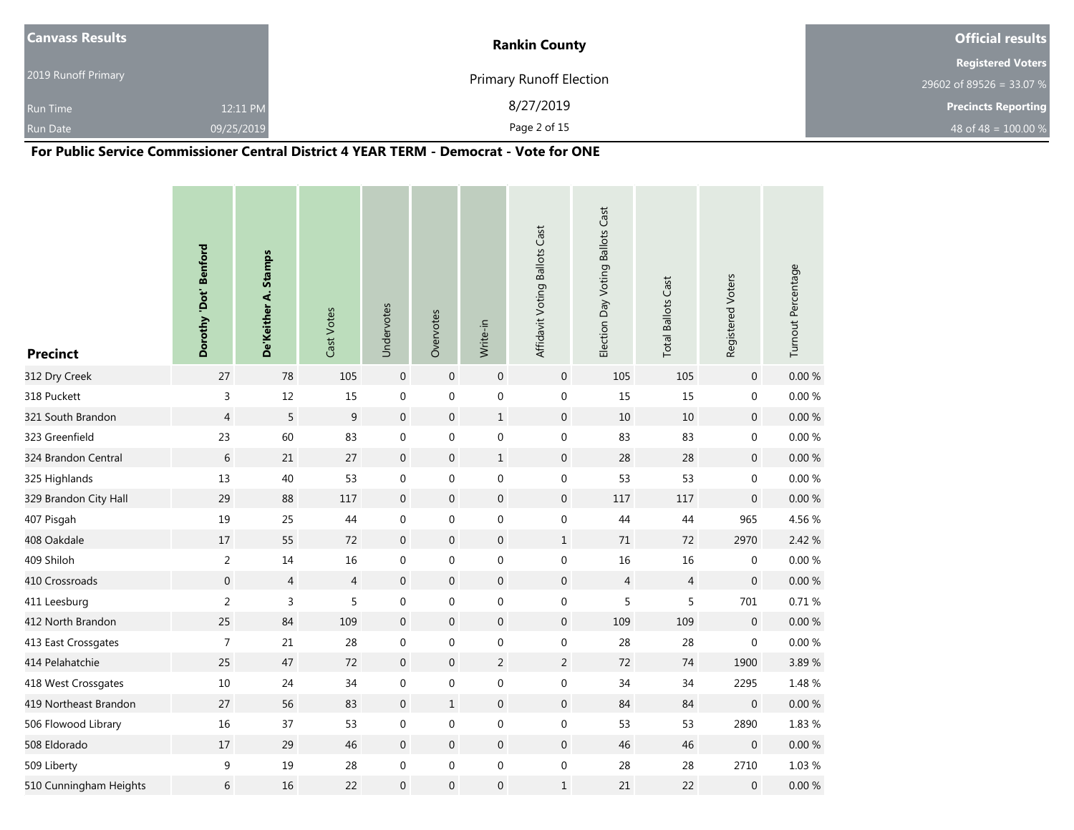| <b>Canvass Results</b> |            | <b>Rankin County</b>           | <b>Official results</b>    |
|------------------------|------------|--------------------------------|----------------------------|
|                        |            |                                | <b>Registered Voters</b>   |
| 2019 Runoff Primary    |            | <b>Primary Runoff Election</b> | 29602 of 89526 = 33.07 %   |
| <b>Run Time</b>        | 12:11 PM   | 8/27/2019                      | <b>Precincts Reporting</b> |
| <b>Run Date</b>        | 09/25/2019 | Page 2 of 15                   | 48 of 48 = $100.00\%$      |

### **For Public Service Commissioner Central District 4 YEAR TERM - Democrat - Vote for ONE**

| <b>Precinct</b>        | Dorothy 'Dot' Benford | De'Keither A. Stamps | Cast Votes     | Undervotes       | Overvotes        | Write-in         | Affidavit Voting Ballots Cast | Election Day Voting Ballots Cast | <b>Total Ballots Cast</b> | Registered Voters | Turnout Percentage |
|------------------------|-----------------------|----------------------|----------------|------------------|------------------|------------------|-------------------------------|----------------------------------|---------------------------|-------------------|--------------------|
| 312 Dry Creek          | $27$                  | 78                   | 105            | $\boldsymbol{0}$ | $\boldsymbol{0}$ | $\boldsymbol{0}$ | $\mathsf{O}\xspace$           | 105                              | 105                       | $\boldsymbol{0}$  | $0.00 \%$          |
| 318 Puckett            | 3                     | $12\,$               | 15             | $\boldsymbol{0}$ | $\boldsymbol{0}$ | $\boldsymbol{0}$ | $\boldsymbol{0}$              | 15                               | 15                        | $\boldsymbol{0}$  | $0.00\ \%$         |
| 321 South Brandon      | $\overline{4}$        | 5                    | $\overline{9}$ | $\boldsymbol{0}$ | $\mathbf 0$      | $\mathbf{1}$     | $\mathbf 0$                   | $10\,$                           | $10\,$                    | $\boldsymbol{0}$  | $0.00 \%$          |
| 323 Greenfield         | 23                    | 60                   | 83             | $\boldsymbol{0}$ | $\boldsymbol{0}$ | $\boldsymbol{0}$ | $\boldsymbol{0}$              | 83                               | 83                        | $\boldsymbol{0}$  | 0.00%              |
| 324 Brandon Central    | 6                     | 21                   | 27             | $\boldsymbol{0}$ | $\mathbf 0$      | $\mathbf{1}$     | $\mathsf{O}\xspace$           | 28                               | 28                        | $\mathbf 0$       | $0.00\ \%$         |
| 325 Highlands          | $13\,$                | 40                   | 53             | $\boldsymbol{0}$ | 0                | $\boldsymbol{0}$ | $\boldsymbol{0}$              | 53                               | 53                        | $\boldsymbol{0}$  | $0.00~\%$          |
| 329 Brandon City Hall  | 29                    | 88                   | 117            | $\mathbf{0}$     | $\mathbf 0$      | $\boldsymbol{0}$ | $\mathbf{0}$                  | 117                              | 117                       | $\boldsymbol{0}$  | 0.00%              |
| 407 Pisgah             | 19                    | 25                   | 44             | $\boldsymbol{0}$ | $\boldsymbol{0}$ | $\boldsymbol{0}$ | $\boldsymbol{0}$              | 44                               | 44                        | 965               | 4.56 %             |
| 408 Oakdale            | $17$                  | 55                   | 72             | $\boldsymbol{0}$ | $\mathbf 0$      | $\boldsymbol{0}$ | $\mathbf{1}$                  | $71\,$                           | 72                        | 2970              | 2.42 %             |
| 409 Shiloh             | $\sqrt{2}$            | 14                   | 16             | $\pmb{0}$        | 0                | $\boldsymbol{0}$ | $\boldsymbol{0}$              | 16                               | 16                        | 0                 | 0.00%              |
| 410 Crossroads         | $\mathbf{0}$          | $\overline{4}$       | $\overline{4}$ | $\boldsymbol{0}$ | $\mathbf 0$      | $\boldsymbol{0}$ | $\mathbf 0$                   | $\overline{4}$                   | $\overline{4}$            | $\mathbf 0$       | 0.00%              |
| 411 Leesburg           | $\overline{2}$        | 3                    | 5              | 0                | 0                | $\boldsymbol{0}$ | $\boldsymbol{0}$              | 5                                | 5                         | 701               | 0.71%              |
| 412 North Brandon      | 25                    | 84                   | 109            | $\mathbf 0$      | $\boldsymbol{0}$ | $\boldsymbol{0}$ | $\mathbf 0$                   | 109                              | 109                       | $\boldsymbol{0}$  | 0.00%              |
| 413 East Crossgates    | $\overline{7}$        | 21                   | 28             | $\boldsymbol{0}$ | $\mathbf 0$      | $\boldsymbol{0}$ | $\boldsymbol{0}$              | 28                               | 28                        | 0                 | $0.00~\%$          |
| 414 Pelahatchie        | 25                    | 47                   | 72             | $\boldsymbol{0}$ | $\boldsymbol{0}$ | $\overline{2}$   | $\overline{2}$                | 72                               | $74$                      | 1900              | 3.89%              |
| 418 West Crossgates    | $10\,$                | 24                   | 34             | $\boldsymbol{0}$ | 0                | $\boldsymbol{0}$ | $\boldsymbol{0}$              | 34                               | 34                        | 2295              | 1.48 %             |
| 419 Northeast Brandon  | 27                    | 56                   | 83             | $\boldsymbol{0}$ | $\mathbf{1}$     | $\boldsymbol{0}$ | $\mathbf 0$                   | 84                               | 84                        | $\boldsymbol{0}$  | $0.00\ \%$         |
| 506 Flowood Library    | 16                    | 37                   | 53             | $\boldsymbol{0}$ | $\mathbf 0$      | $\boldsymbol{0}$ | $\boldsymbol{0}$              | 53                               | 53                        | 2890              | 1.83 %             |
| 508 Eldorado           | 17                    | 29                   | 46             | $\boldsymbol{0}$ | $\mathbf 0$      | $\boldsymbol{0}$ | $\mathbf 0$                   | 46                               | 46                        | $\boldsymbol{0}$  | 0.00%              |
| 509 Liberty            | 9                     | 19                   | 28             | $\boldsymbol{0}$ | $\boldsymbol{0}$ | $\boldsymbol{0}$ | $\boldsymbol{0}$              | 28                               | 28                        | 2710              | $1.03~\%$          |
| 510 Cunningham Heights | 6                     | 16                   | 22             | $\mathbf{0}$     | $\mathbf{0}$     | $\mathbf 0$      | $\mathbf{1}$                  | 21                               | 22                        | $\mathbf 0$       | $0.00\ \%$         |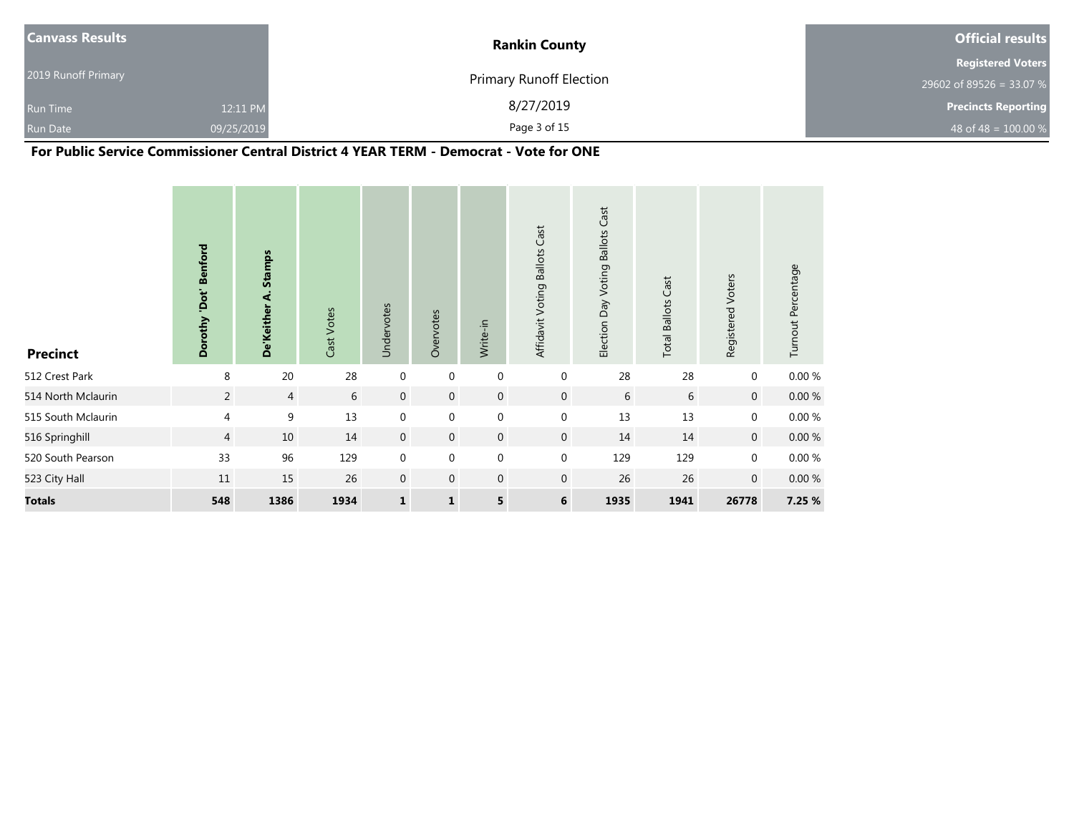| <b>Canvass Results</b> |            | <b>Rankin County</b>           | <b>Official results</b>    |
|------------------------|------------|--------------------------------|----------------------------|
|                        |            |                                | <b>Registered Voters</b>   |
| 2019 Runoff Primary    |            | <b>Primary Runoff Election</b> | 29602 of 89526 = 33.07 %   |
| <b>Run Time</b>        | 12:11 PM   | 8/27/2019                      | <b>Precincts Reporting</b> |
| Run Date               | 09/25/2019 | Page 3 of 15                   | 48 of 48 = $100.00\%$      |

**For Public Service Commissioner Central District 4 YEAR TERM - Democrat - Vote for ONE**

| <b>Precinct</b>    | 'Dot' Benford<br>Dorothy | De'Keither A. Stamps | Cast Votes | Undervotes   | Overvotes    | Write-in         | Affidavit Voting Ballots Cast | Election Day Voting Ballots Cast | Cast<br><b>Ballots</b><br>Total I | Registered Voters | Turnout Percentage |
|--------------------|--------------------------|----------------------|------------|--------------|--------------|------------------|-------------------------------|----------------------------------|-----------------------------------|-------------------|--------------------|
| 512 Crest Park     | 8                        | 20                   | 28         | $\mathbf 0$  | $\mathbf 0$  | $\mathbf 0$      | $\pmb{0}$                     | 28                               | 28                                | $\mathbf 0$       | 0.00%              |
| 514 North Mclaurin | $\overline{2}$           | $\overline{4}$       | 6          | $\mathbf 0$  | $\mathbf 0$  | $\mathbf 0$      | $\overline{0}$                | 6                                | 6                                 | $\mathbf 0$       | $0.00\ \%$         |
| 515 South Mclaurin | $\overline{4}$           | 9                    | 13         | $\mathbf 0$  | $\mathbf 0$  | $\boldsymbol{0}$ | 0                             | 13                               | 13                                | 0                 | $0.00~\%$          |
| 516 Springhill     | $\overline{4}$           | 10                   | 14         | $\mathbf 0$  | $\mathbf 0$  | $\mathbf 0$      | $\mathbf{0}$                  | 14                               | 14                                | $\mathbf 0$       | $0.00\ \%$         |
| 520 South Pearson  | 33                       | 96                   | 129        | $\mathbf 0$  | $\mathbf 0$  | $\boldsymbol{0}$ | 0                             | 129                              | 129                               | $\mathbf 0$       | $0.00\ \%$         |
| 523 City Hall      | 11                       | 15                   | 26         | $\mathbf{0}$ | $\mathbf{0}$ | $\mathbf{0}$     | $\mathbf 0$                   | 26                               | 26                                | $\mathbf 0$       | 0.00%              |
| <b>Totals</b>      | 548                      | 1386                 | 1934       | $\mathbf 1$  | $\mathbf{1}$ | 5                | 6                             | 1935                             | 1941                              | 26778             | 7.25 %             |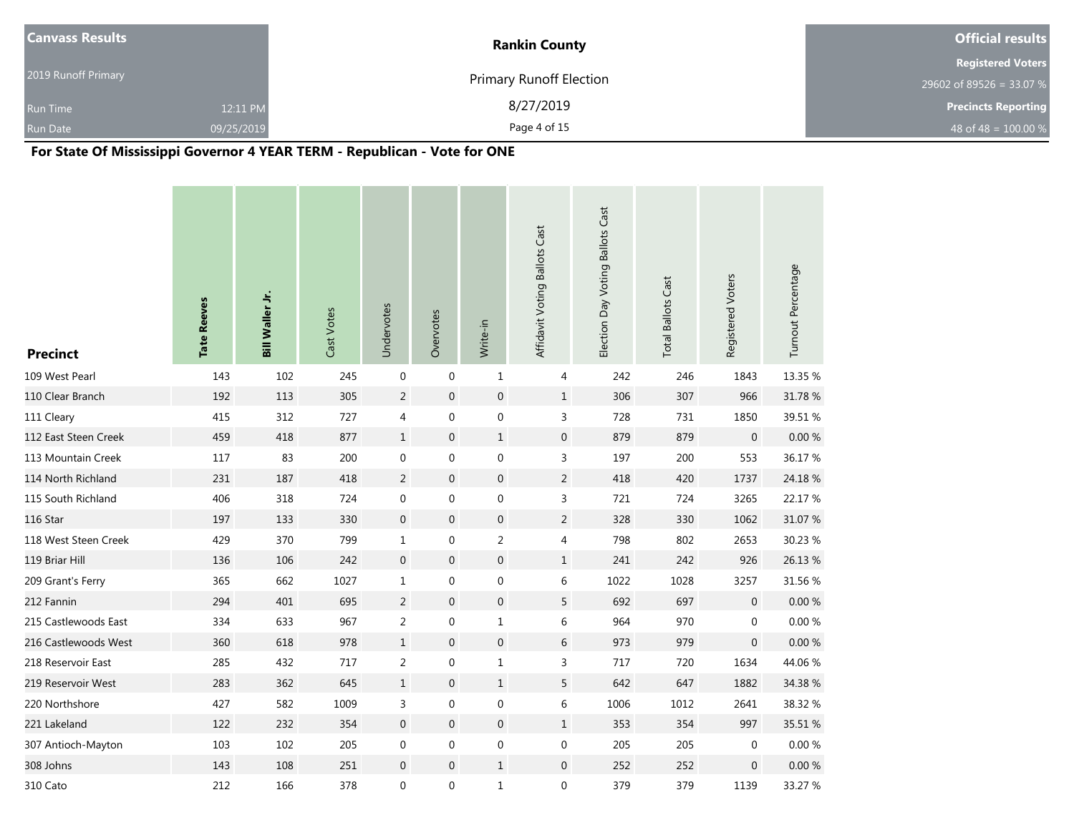| <b>Canvass Results</b> |            | <b>Rankin County</b>           | <b>Official results</b>    |
|------------------------|------------|--------------------------------|----------------------------|
|                        |            |                                | <b>Registered Voters</b>   |
| 2019 Runoff Primary    |            | <b>Primary Runoff Election</b> | 29602 of 89526 = 33.07 %   |
| <b>Run Time</b>        | 12:11 PM   | 8/27/2019                      | <b>Precincts Reporting</b> |
| <b>Run Date</b>        | 09/25/2019 | Page 4 of 15                   | 48 of 48 = $100.00\%$      |

# **For State Of Mississippi Governor 4 YEAR TERM - Republican - Vote for ONE**

| <b>Precinct</b>      | <b>Tate Reeves</b> | Bill Waller Jr. | Cast Votes | Undervotes       | Overvotes        | Write-in         | Affidavit Voting Ballots Cast | Election Day Voting Ballots Cast | <b>Total Ballots Cast</b> | Registered Voters | Turnout Percentage |
|----------------------|--------------------|-----------------|------------|------------------|------------------|------------------|-------------------------------|----------------------------------|---------------------------|-------------------|--------------------|
| 109 West Pearl       | 143                | 102             | 245        | $\mathbf 0$      | $\mathbf 0$      | 1                | 4                             | 242                              | 246                       | 1843              | 13.35 %            |
| 110 Clear Branch     | 192                | 113             | 305        | $\sqrt{2}$       | $\mathbf 0$      | $\boldsymbol{0}$ | $\,1$                         | 306                              | 307                       | 966               | 31.78 %            |
| 111 Cleary           | 415                | 312             | 727        | 4                | 0                | $\boldsymbol{0}$ | $\mathsf{3}$                  | 728                              | 731                       | 1850              | 39.51 %            |
| 112 East Steen Creek | 459                | 418             | 877        | $\mathbf{1}$     | $\overline{0}$   | $\mathbf{1}$     | $\boldsymbol{0}$              | 879                              | 879                       | $\mathbf 0$       | $0.00\ \%$         |
| 113 Mountain Creek   | 117                | 83              | 200        | $\mathbf 0$      | $\mathbf 0$      | $\boldsymbol{0}$ | $\mathsf{3}$                  | 197                              | 200                       | 553               | 36.17%             |
| 114 North Richland   | 231                | 187             | 418        | 2                | $\boldsymbol{0}$ | $\boldsymbol{0}$ | $\overline{2}$                | 418                              | 420                       | 1737              | 24.18 %            |
| 115 South Richland   | 406                | 318             | 724        | $\boldsymbol{0}$ | 0                | $\boldsymbol{0}$ | $\mathsf{3}$                  | 721                              | 724                       | 3265              | 22.17 %            |
| 116 Star             | 197                | 133             | 330        | $\boldsymbol{0}$ | $\mathbf 0$      | $\boldsymbol{0}$ | $\overline{2}$                | 328                              | 330                       | 1062              | 31.07 %            |
| 118 West Steen Creek | 429                | 370             | 799        | $\mathbf{1}$     | $\pmb{0}$        | $\overline{a}$   | 4                             | 798                              | 802                       | 2653              | 30.23 %            |
| 119 Briar Hill       | 136                | 106             | 242        | $\boldsymbol{0}$ | $\mathbf 0$      | $\boldsymbol{0}$ | $\,1$                         | 241                              | 242                       | 926               | 26.13 %            |
| 209 Grant's Ferry    | 365                | 662             | 1027       | $\mathbf{1}$     | $\pmb{0}$        | $\pmb{0}$        | 6                             | 1022                             | 1028                      | 3257              | 31.56 %            |
| 212 Fannin           | 294                | 401             | 695        | $\overline{c}$   | $\mathbf{0}$     | $\boldsymbol{0}$ | $\overline{5}$                | 692                              | 697                       | $\mathbf 0$       | 0.00 %             |
| 215 Castlewoods East | 334                | 633             | 967        | $\overline{c}$   | $\mathbf 0$      | 1                | 6                             | 964                              | 970                       | $\mathbf 0$       | 0.00 %             |
| 216 Castlewoods West | 360                | 618             | 978        | $\mathbf{1}$     | $\overline{0}$   | $\boldsymbol{0}$ | $\boldsymbol{6}$              | 973                              | 979                       | $\mathbf 0$       | $0.00 \%$          |
| 218 Reservoir East   | 285                | 432             | 717        | $\overline{2}$   | 0                | $\mathbf 1$      | $\mathsf{3}$                  | 717                              | 720                       | 1634              | 44.06%             |
| 219 Reservoir West   | 283                | 362             | 645        | $\mathbf{1}$     | $\mathbf{0}$     | $\mathbf{1}$     | 5                             | 642                              | 647                       | 1882              | 34.38 %            |
| 220 Northshore       | 427                | 582             | 1009       | 3                | $\boldsymbol{0}$ | $\boldsymbol{0}$ | 6                             | 1006                             | 1012                      | 2641              | 38.32 %            |
| 221 Lakeland         | 122                | 232             | 354        | $\mathbf 0$      | $\boldsymbol{0}$ | $\boldsymbol{0}$ | $\mathbf{1}$                  | 353                              | 354                       | 997               | 35.51 %            |
| 307 Antioch-Mayton   | 103                | 102             | 205        | $\boldsymbol{0}$ | 0                | $\boldsymbol{0}$ | $\boldsymbol{0}$              | 205                              | 205                       | 0                 | $0.00 \%$          |
| 308 Johns            | 143                | 108             | 251        | $\mathbf 0$      | $\boldsymbol{0}$ | $\mathbf{1}$     | $\mathbf 0$                   | 252                              | 252                       | $\mathbf 0$       | 0.00%              |
| 310 Cato             | 212                | 166             | 378        | $\boldsymbol{0}$ | 0                | 1                | $\boldsymbol{0}$              | 379                              | 379                       | 1139              | 33.27 %            |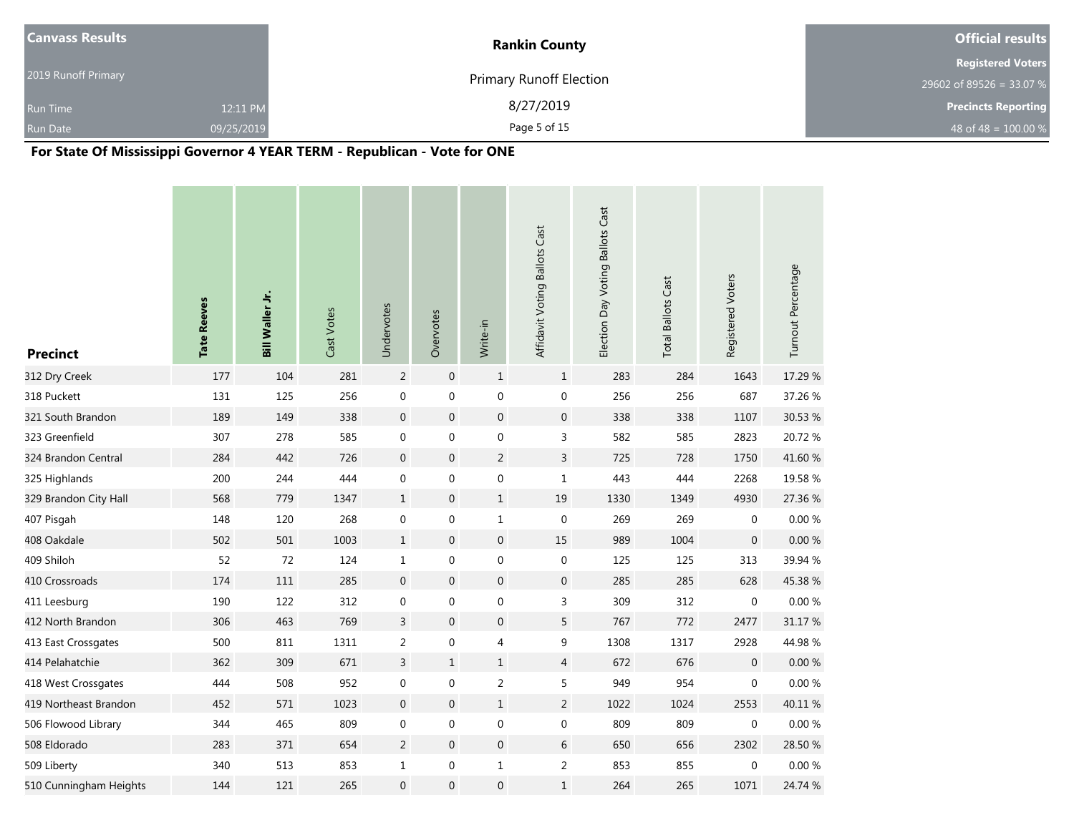| <b>Canvass Results</b> |            | <b>Rankin County</b>           | <b>Official results</b>    |
|------------------------|------------|--------------------------------|----------------------------|
|                        |            |                                | <b>Registered Voters</b>   |
| 2019 Runoff Primary    |            | <b>Primary Runoff Election</b> | 29602 of 89526 = 33.07 %   |
| <b>Run Time</b>        | 12:11 PM   | 8/27/2019                      | <b>Precincts Reporting</b> |
| <b>Run Date</b>        | 09/25/2019 | Page 5 of 15                   | 48 of 48 = $100.00\%$      |

# **For State Of Mississippi Governor 4 YEAR TERM - Republican - Vote for ONE**

| <b>Precinct</b>        | <b>Tate Reeves</b> | Bill Waller Jr. | Cast Votes | Undervotes       | Overvotes        | Write-in         | Affidavit Voting Ballots Cast | Election Day Voting Ballots Cast | <b>Total Ballots Cast</b> | Registered Voters | Turnout Percentage |
|------------------------|--------------------|-----------------|------------|------------------|------------------|------------------|-------------------------------|----------------------------------|---------------------------|-------------------|--------------------|
| 312 Dry Creek          | 177                | 104             | 281        | $\overline{2}$   | $\mathbf 0$      | $\mathbf{1}$     | $\mathbf{1}$                  | 283                              | 284                       | 1643              | 17.29 %            |
| 318 Puckett            | 131                | 125             | 256        | $\boldsymbol{0}$ | $\boldsymbol{0}$ | $\boldsymbol{0}$ | $\boldsymbol{0}$              | 256                              | 256                       | 687               | 37.26 %            |
| 321 South Brandon      | 189                | 149             | 338        | $\overline{0}$   | $\boldsymbol{0}$ | $\boldsymbol{0}$ | $\boldsymbol{0}$              | 338                              | 338                       | 1107              | 30.53 %            |
| 323 Greenfield         | 307                | 278             | 585        | $\boldsymbol{0}$ | 0                | $\boldsymbol{0}$ | 3                             | 582                              | 585                       | 2823              | 20.72 %            |
| 324 Brandon Central    | 284                | 442             | 726        | $\overline{0}$   | $\boldsymbol{0}$ | $\overline{2}$   | $\mathsf{3}$                  | 725                              | 728                       | 1750              | 41.60 %            |
| 325 Highlands          | 200                | 244             | 444        | $\boldsymbol{0}$ | 0                | $\boldsymbol{0}$ | $1\,$                         | 443                              | 444                       | 2268              | 19.58 %            |
| 329 Brandon City Hall  | 568                | 779             | 1347       | $\mathbf{1}$     | $\boldsymbol{0}$ | $\mathbf{1}$     | 19                            | 1330                             | 1349                      | 4930              | 27.36 %            |
| 407 Pisgah             | 148                | 120             | 268        | $\boldsymbol{0}$ | 0                | 1                | $\boldsymbol{0}$              | 269                              | 269                       | $\mathbf 0$       | $0.00\ \%$         |
| 408 Oakdale            | 502                | 501             | 1003       | $\mathbf{1}$     | $\overline{0}$   | $\boldsymbol{0}$ | 15                            | 989                              | 1004                      | $\mathbf 0$       | 0.00%              |
| 409 Shiloh             | 52                 | 72              | 124        | $1\,$            | 0                | $\boldsymbol{0}$ | $\boldsymbol{0}$              | 125                              | 125                       | 313               | 39.94 %            |
| 410 Crossroads         | 174                | 111             | 285        | $\mathbf 0$      | $\boldsymbol{0}$ | $\boldsymbol{0}$ | $\boldsymbol{0}$              | 285                              | 285                       | 628               | 45.38 %            |
| 411 Leesburg           | 190                | 122             | 312        | $\boldsymbol{0}$ | 0                | $\boldsymbol{0}$ | $\mathsf{3}$                  | 309                              | 312                       | $\mathbf 0$       | 0.00 %             |
| 412 North Brandon      | 306                | 463             | 769        | $\mathsf{3}$     | $\boldsymbol{0}$ | $\boldsymbol{0}$ | 5                             | 767                              | 772                       | 2477              | 31.17 %            |
| 413 East Crossgates    | 500                | 811             | 1311       | 2                | 0                | 4                | 9                             | 1308                             | 1317                      | 2928              | 44.98%             |
| 414 Pelahatchie        | 362                | 309             | 671        | $\mathsf{3}$     | $\mathbf{1}$     | $\mathbf 1$      | $\overline{4}$                | 672                              | 676                       | $\mathbf 0$       | $0.00\ \%$         |
| 418 West Crossgates    | 444                | 508             | 952        | $\mathbf 0$      | 0                | $\overline{c}$   | 5                             | 949                              | 954                       | 0                 | 0.00%              |
| 419 Northeast Brandon  | 452                | 571             | 1023       | $\mathbf 0$      | $\mathbf 0$      | $\mathbf 1$      | $\overline{2}$                | 1022                             | 1024                      | 2553              | 40.11 %            |
| 506 Flowood Library    | 344                | 465             | 809        | $\boldsymbol{0}$ | 0                | 0                | 0                             | 809                              | 809                       | 0                 | 0.00%              |
| 508 Eldorado           | 283                | 371             | 654        | $\overline{2}$   | $\overline{0}$   | $\boldsymbol{0}$ | $6\,$                         | 650                              | 656                       | 2302              | 28.50 %            |
| 509 Liberty            | 340                | 513             | 853        | $\mathbf{1}$     | 0                | 1                | $\sqrt{2}$                    | 853                              | 855                       | $\pmb{0}$         | 0.00%              |
| 510 Cunningham Heights | 144                | 121             | 265        | $\boldsymbol{0}$ | $\mathbf 0$      | $\boldsymbol{0}$ | $\mathbf{1}$                  | 264                              | 265                       | 1071              | 24.74 %            |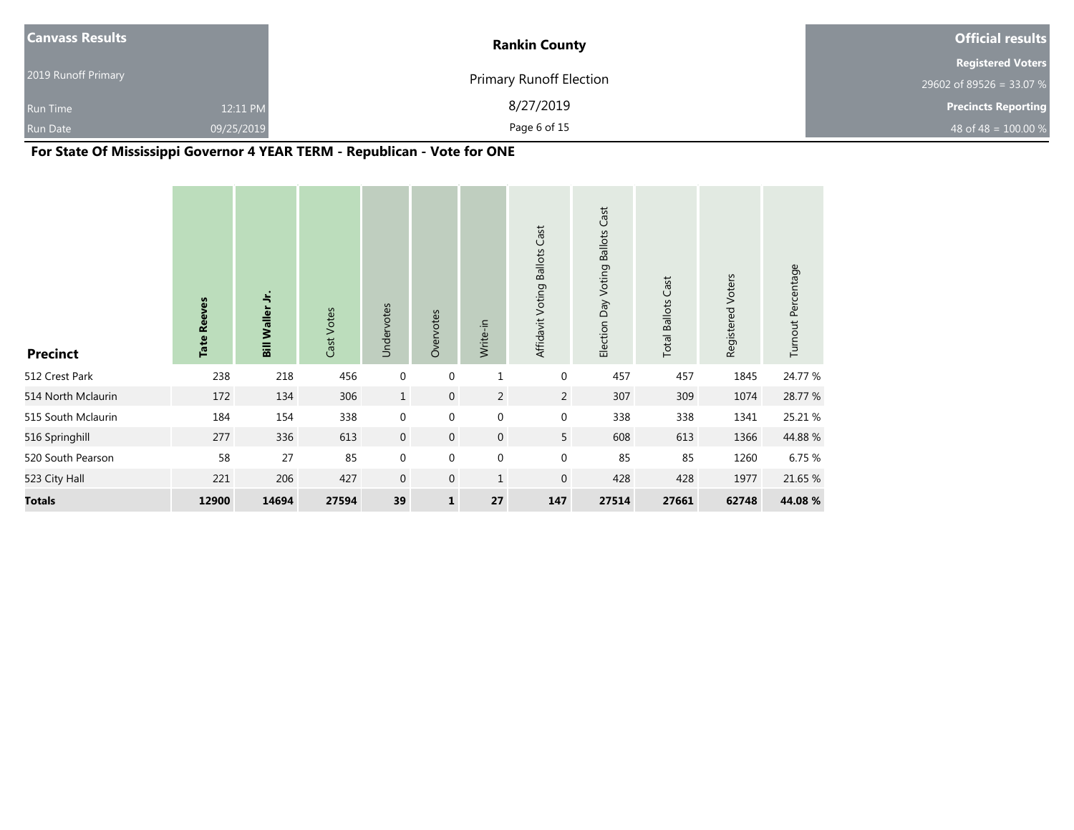| <b>Canvass Results</b> |            | <b>Rankin County</b>           | <b>Official results</b>    |
|------------------------|------------|--------------------------------|----------------------------|
|                        |            |                                | <b>Registered Voters</b>   |
| 2019 Runoff Primary    |            | <b>Primary Runoff Election</b> | 29602 of 89526 = 33.07 %   |
| <b>Run Time</b>        | 12:11 PM   | 8/27/2019                      | <b>Precincts Reporting</b> |
| <b>Run Date</b>        | 09/25/2019 | Page 6 of 15                   | 48 of 48 = $100.00\%$      |

# **For State Of Mississippi Governor 4 YEAR TERM - Republican - Vote for ONE**

| <b>Precinct</b>    | <b>Tate Reeves</b> | Bill Waller Jr. | Cast Votes | Undervotes       | Overvotes    | Write-in       | Affidavit Voting Ballots Cast | Election Day Voting Ballots Cast | <b>Total Ballots Cast</b> | Registered Voters | Turnout Percentage |
|--------------------|--------------------|-----------------|------------|------------------|--------------|----------------|-------------------------------|----------------------------------|---------------------------|-------------------|--------------------|
| 512 Crest Park     | 238                | 218             | 456        | $\mathbf 0$      | $\mathbf 0$  | $\mathbf 1$    | $\mathbf 0$                   | 457                              | 457                       | 1845              | 24.77 %            |
| 514 North Mclaurin | 172                | 134             | 306        | $\mathbf{1}$     | $\mathbf 0$  | $\overline{2}$ | $\overline{2}$                | 307                              | 309                       | 1074              | 28.77 %            |
| 515 South Mclaurin | 184                | 154             | 338        | $\mathbf 0$      | $\mathbf 0$  | $\mathbf 0$    | $\boldsymbol{0}$              | 338                              | 338                       | 1341              | 25.21 %            |
| 516 Springhill     | 277                | 336             | 613        | $\mathbf 0$      | $\mathbf 0$  | $\mathbf 0$    | 5                             | 608                              | 613                       | 1366              | 44.88%             |
| 520 South Pearson  | 58                 | 27              | 85         | $\boldsymbol{0}$ | $\mathbf 0$  | $\mathbf 0$    | $\boldsymbol{0}$              | 85                               | 85                        | 1260              | 6.75 %             |
| 523 City Hall      | 221                | 206             | 427        | $\mathbf 0$      | $\mathbf 0$  | $\mathbf{1}$   | $\mathbf 0$                   | 428                              | 428                       | 1977              | 21.65 %            |
| <b>Totals</b>      | 12900              | 14694           | 27594      | 39               | $\mathbf{1}$ | 27             | 147                           | 27514                            | 27661                     | 62748             | 44.08 %            |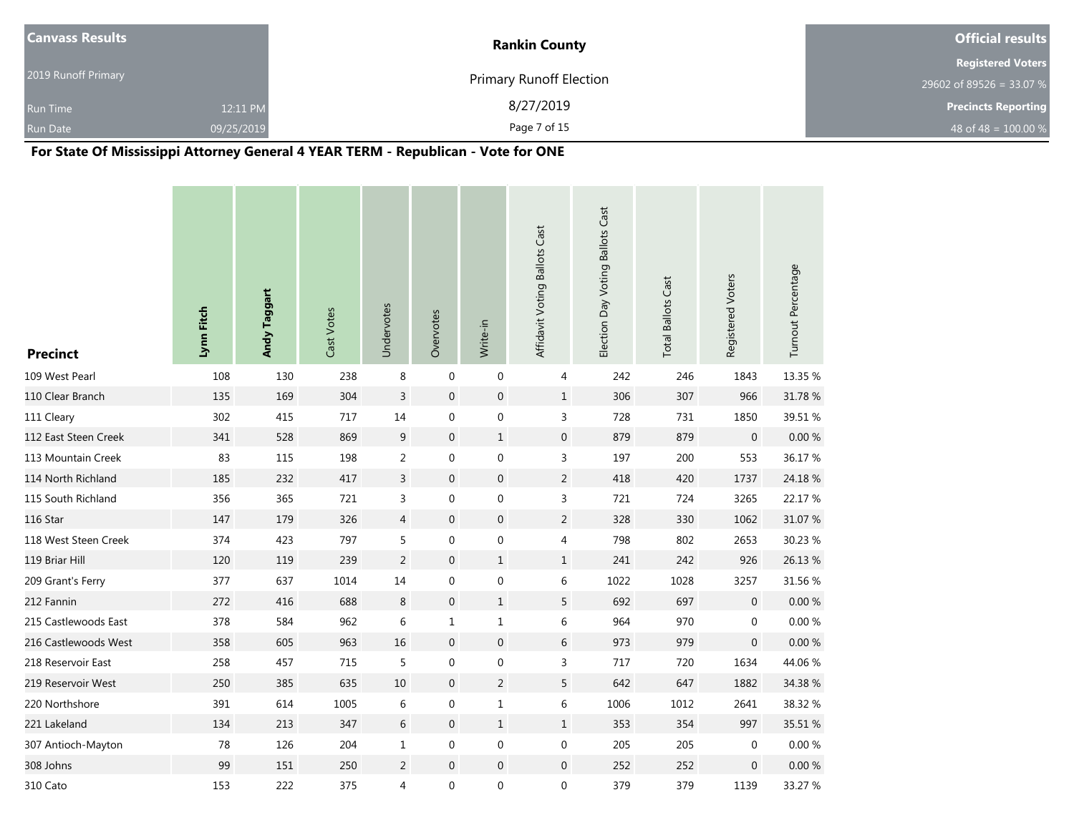| <b>Canvass Results</b> |            | <b>Rankin County</b>           | <b>Official results</b>    |
|------------------------|------------|--------------------------------|----------------------------|
|                        |            |                                | <b>Registered Voters</b>   |
| 2019 Runoff Primary    |            | <b>Primary Runoff Election</b> | 29602 of 89526 = 33.07 %   |
| <b>Run Time</b>        | 12:11 PM   | 8/27/2019                      | <b>Precincts Reporting</b> |
| <b>Run Date</b>        | 09/25/2019 | Page 7 of 15                   | 48 of 48 = $100.00 %$      |

# **For State Of Mississippi Attorney General 4 YEAR TERM - Republican - Vote for ONE**

| <b>Precinct</b>      | Lynn Fitch | Andy Taggart | Cast Votes | Undervotes     | Overvotes        | Write-in         | Affidavit Voting Ballots Cast | Election Day Voting Ballots Cast | <b>Total Ballots Cast</b> | Registered Voters | Turnout Percentage |
|----------------------|------------|--------------|------------|----------------|------------------|------------------|-------------------------------|----------------------------------|---------------------------|-------------------|--------------------|
| 109 West Pearl       | 108        | 130          | 238        | 8              | $\mathbf 0$      | $\boldsymbol{0}$ | 4                             | 242                              | 246                       | 1843              | 13.35 %            |
| 110 Clear Branch     | 135        | 169          | 304        | $\overline{3}$ | $\mathbf 0$      | $\boldsymbol{0}$ | $\mathbf{1}$                  | 306                              | 307                       | 966               | 31.78 %            |
| 111 Cleary           | 302        | 415          | 717        | 14             | 0                | $\boldsymbol{0}$ | 3                             | 728                              | 731                       | 1850              | 39.51 %            |
| 112 East Steen Creek | 341        | 528          | 869        | 9              | $\boldsymbol{0}$ | $\mathbf 1$      | $\boldsymbol{0}$              | 879                              | 879                       | $\boldsymbol{0}$  | $0.00~\%$          |
| 113 Mountain Creek   | 83         | 115          | 198        | $\overline{2}$ | $\boldsymbol{0}$ | $\boldsymbol{0}$ | 3                             | 197                              | 200                       | 553               | 36.17%             |
| 114 North Richland   | 185        | 232          | 417        | $\mathsf{3}$   | $\boldsymbol{0}$ | $\boldsymbol{0}$ | $\overline{2}$                | 418                              | 420                       | 1737              | 24.18 %            |
| 115 South Richland   | 356        | 365          | 721        | 3              | $\boldsymbol{0}$ | $\boldsymbol{0}$ | 3                             | 721                              | 724                       | 3265              | 22.17 %            |
| 116 Star             | 147        | 179          | 326        | $\overline{4}$ | $\pmb{0}$        | $\boldsymbol{0}$ | $\overline{2}$                | 328                              | 330                       | 1062              | 31.07 %            |
| 118 West Steen Creek | 374        | 423          | 797        | 5              | $\boldsymbol{0}$ | $\boldsymbol{0}$ | 4                             | 798                              | 802                       | 2653              | 30.23 %            |
| 119 Briar Hill       | 120        | 119          | 239        | $\overline{c}$ | $\boldsymbol{0}$ | $\mathbf 1$      | $\mathbf{1}$                  | 241                              | 242                       | 926               | 26.13 %            |
| 209 Grant's Ferry    | 377        | 637          | 1014       | 14             | $\boldsymbol{0}$ | $\boldsymbol{0}$ | 6                             | 1022                             | 1028                      | 3257              | 31.56 %            |
| 212 Fannin           | 272        | 416          | 688        | 8              | $\pmb{0}$        | $\mathbf{1}$     | 5                             | 692                              | 697                       | $\mathbf 0$       | $0.00 \%$          |
| 215 Castlewoods East | 378        | 584          | 962        | 6              | $\mathbf{1}$     | $\mathbf{1}$     | 6                             | 964                              | 970                       | $\mathbf 0$       | 0.00 %             |
| 216 Castlewoods West | 358        | 605          | 963        | 16             | $\boldsymbol{0}$ | $\boldsymbol{0}$ | 6                             | 973                              | 979                       | 0                 | 0.00 %             |
| 218 Reservoir East   | 258        | 457          | 715        | 5              | $\pmb{0}$        | $\boldsymbol{0}$ | 3                             | 717                              | 720                       | 1634              | 44.06 %            |
| 219 Reservoir West   | 250        | 385          | 635        | 10             | $\boldsymbol{0}$ | $\overline{2}$   | 5                             | 642                              | 647                       | 1882              | 34.38 %            |
| 220 Northshore       | 391        | 614          | 1005       | 6              | 0                | $\mathbf{1}$     | 6                             | 1006                             | 1012                      | 2641              | 38.32 %            |
| 221 Lakeland         | 134        | 213          | 347        | $6\,$          | $\boldsymbol{0}$ | $\mathbf{1}$     | $\mathbf{1}$                  | 353                              | 354                       | 997               | 35.51 %            |
| 307 Antioch-Mayton   | 78         | 126          | 204        | $1\,$          | $\boldsymbol{0}$ | $\boldsymbol{0}$ | $\boldsymbol{0}$              | 205                              | 205                       | 0                 | 0.00%              |
| 308 Johns            | 99         | 151          | 250        | $\overline{2}$ | $\boldsymbol{0}$ | $\boldsymbol{0}$ | $\boldsymbol{0}$              | 252                              | 252                       | 0                 | $0.00 \%$          |
| 310 Cato             | 153        | 222          | 375        | 4              | 0                | $\boldsymbol{0}$ | 0                             | 379                              | 379                       | 1139              | 33.27 %            |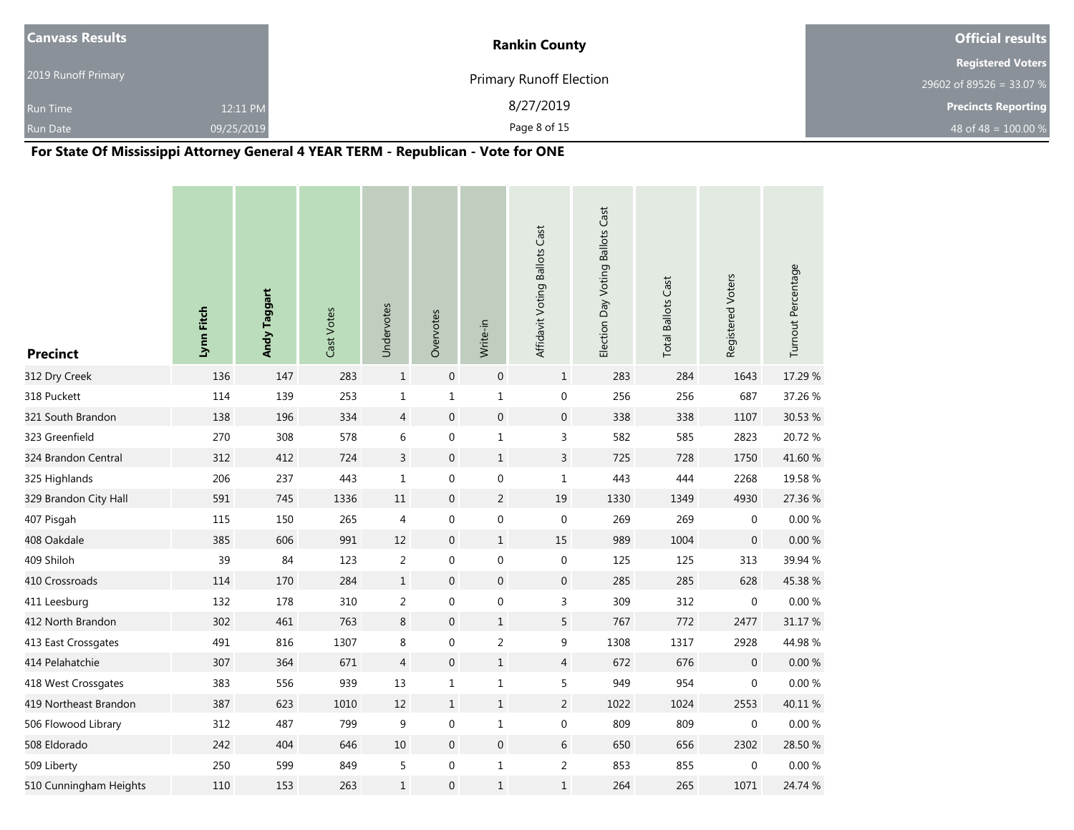| <b>Canvass Results</b> |            | <b>Rankin County</b>           | <b>Official results</b>    |
|------------------------|------------|--------------------------------|----------------------------|
|                        |            |                                | <b>Registered Voters</b>   |
| 2019 Runoff Primary    |            | <b>Primary Runoff Election</b> | 29602 of 89526 = 33.07 %   |
| <b>Run Time</b>        | 12:11 PM   | 8/27/2019                      | <b>Precincts Reporting</b> |
| <b>Run Date</b>        | 09/25/2019 | Page 8 of 15                   | 48 of 48 = $100.00 %$      |

# **For State Of Mississippi Attorney General 4 YEAR TERM - Republican - Vote for ONE**

| <b>Precinct</b>        | Lynn Fitch | Andy Taggart | Cast Votes | Undervotes     | Overvotes        | Write-in         | Affidavit Voting Ballots Cast | Election Day Voting Ballots Cast | <b>Total Ballots Cast</b> | Registered Voters | Turnout Percentage |
|------------------------|------------|--------------|------------|----------------|------------------|------------------|-------------------------------|----------------------------------|---------------------------|-------------------|--------------------|
| 312 Dry Creek          | 136        | 147          | 283        | $\mathbf{1}$   | $\mathbf 0$      | $\boldsymbol{0}$ | $\mathbf{1}$                  | 283                              | 284                       | 1643              | 17.29 %            |
| 318 Puckett            | 114        | 139          | 253        | $\mathbf{1}$   | $\mathbf 1$      | $\mathbf 1$      | $\boldsymbol{0}$              | 256                              | 256                       | 687               | 37.26 %            |
| 321 South Brandon      | 138        | 196          | 334        | $\overline{4}$ | $\boldsymbol{0}$ | $\boldsymbol{0}$ | $\boldsymbol{0}$              | 338                              | 338                       | 1107              | 30.53 %            |
| 323 Greenfield         | 270        | 308          | 578        | 6              | $\boldsymbol{0}$ | $\mathbf 1$      | 3                             | 582                              | 585                       | 2823              | 20.72 %            |
| 324 Brandon Central    | 312        | 412          | 724        | 3              | $\boldsymbol{0}$ | $\mathbf{1}$     | $\mathsf{3}$                  | 725                              | 728                       | 1750              | 41.60 %            |
| 325 Highlands          | 206        | 237          | 443        | $\mathbf 1$    | $\boldsymbol{0}$ | $\boldsymbol{0}$ | $\mathbf{1}$                  | 443                              | 444                       | 2268              | 19.58 %            |
| 329 Brandon City Hall  | 591        | 745          | 1336       | 11             | $\boldsymbol{0}$ | $\overline{2}$   | 19                            | 1330                             | 1349                      | 4930              | 27.36 %            |
| 407 Pisgah             | 115        | 150          | 265        | 4              | $\boldsymbol{0}$ | $\boldsymbol{0}$ | $\boldsymbol{0}$              | 269                              | 269                       | 0                 | 0.00%              |
| 408 Oakdale            | 385        | 606          | 991        | 12             | $\boldsymbol{0}$ | $1\,$            | 15                            | 989                              | 1004                      | $\overline{0}$    | $0.00 \%$          |
| 409 Shiloh             | 39         | 84           | 123        | $\overline{c}$ | $\pmb{0}$        | $\boldsymbol{0}$ | $\pmb{0}$                     | 125                              | 125                       | 313               | 39.94 %            |
| 410 Crossroads         | 114        | 170          | 284        | $1\,$          | $\boldsymbol{0}$ | $\boldsymbol{0}$ | $\boldsymbol{0}$              | 285                              | 285                       | 628               | 45.38 %            |
| 411 Leesburg           | 132        | 178          | 310        | $\overline{2}$ | $\boldsymbol{0}$ | $\boldsymbol{0}$ | 3                             | 309                              | 312                       | $\boldsymbol{0}$  | 0.00 %             |
| 412 North Brandon      | 302        | 461          | 763        | 8              | $\boldsymbol{0}$ | $\mathbf{1}$     | 5                             | 767                              | 772                       | 2477              | 31.17 %            |
| 413 East Crossgates    | 491        | 816          | 1307       | 8              | 0                | $\overline{2}$   | 9                             | 1308                             | 1317                      | 2928              | 44.98%             |
| 414 Pelahatchie        | 307        | 364          | 671        | $\overline{4}$ | $\boldsymbol{0}$ | $\mathbf 1$      | $\overline{4}$                | 672                              | 676                       | $\mathbf 0$       | 0.00%              |
| 418 West Crossgates    | 383        | 556          | 939        | 13             | $\mathbf{1}$     | $\mathbf{1}$     | 5                             | 949                              | 954                       | 0                 | 0.00%              |
| 419 Northeast Brandon  | 387        | 623          | 1010       | 12             | $\mathbf{1}$     | $\mathbf 1$      | $\overline{2}$                | 1022                             | 1024                      | 2553              | 40.11%             |
| 506 Flowood Library    | 312        | 487          | 799        | 9              | $\boldsymbol{0}$ | $\mathbf 1$      | 0                             | 809                              | 809                       | 0                 | 0.00%              |
| 508 Eldorado           | 242        | 404          | 646        | 10             | $\boldsymbol{0}$ | $\boldsymbol{0}$ | $6\,$                         | 650                              | 656                       | 2302              | 28.50 %            |
| 509 Liberty            | 250        | 599          | 849        | 5              | $\boldsymbol{0}$ | $\mathbf{1}$     | $\overline{2}$                | 853                              | 855                       | 0                 | 0.00%              |
| 510 Cunningham Heights | 110        | 153          | 263        | $\mathbf{1}$   | $\mathbf 0$      | $\mathbf{1}$     | $\mathbf{1}$                  | 264                              | 265                       | 1071              | 24.74 %            |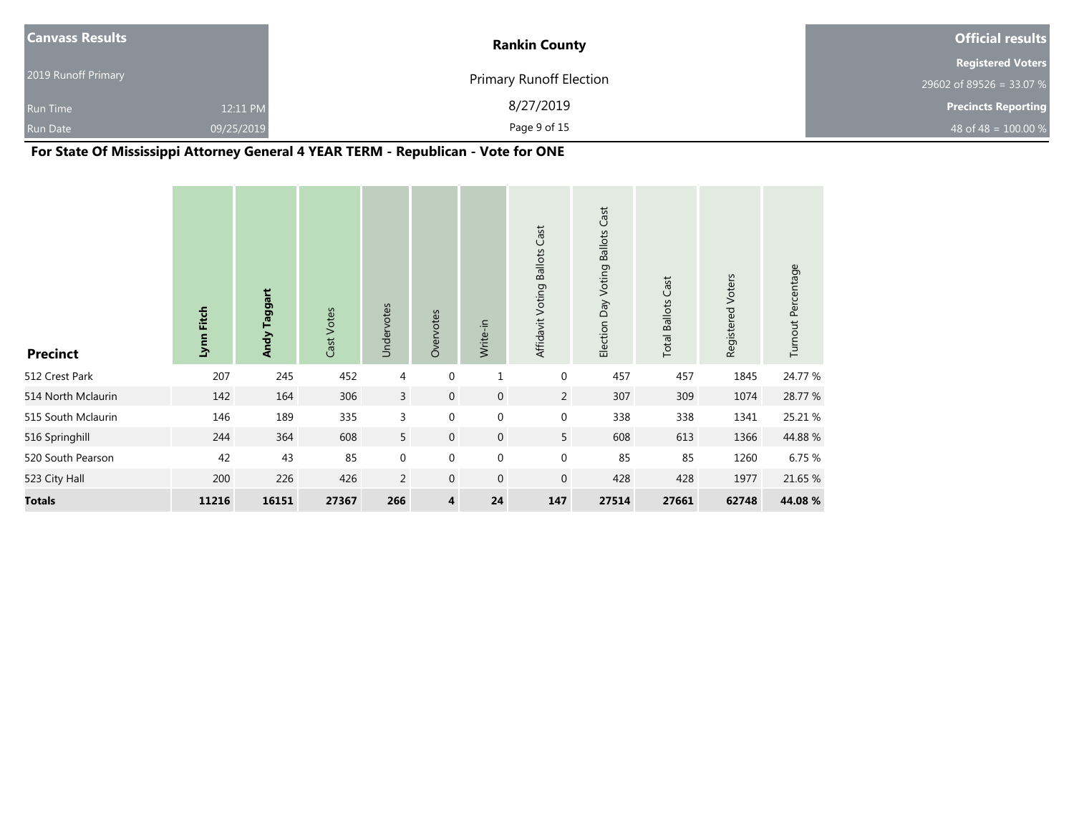| <b>Canvass Results</b> |            | <b>Rankin County</b>           | <b>Official results</b>    |
|------------------------|------------|--------------------------------|----------------------------|
|                        |            |                                | <b>Registered Voters</b>   |
| 2019 Runoff Primary    |            | <b>Primary Runoff Election</b> | 29602 of 89526 = 33.07 %   |
| <b>Run Time</b>        | 12:11 PM   | 8/27/2019                      | <b>Precincts Reporting</b> |
| <b>Run Date</b>        | 09/25/2019 | Page 9 of 15                   | 48 of 48 = $100.00 %$      |

# **For State Of Mississippi Attorney General 4 YEAR TERM - Republican - Vote for ONE**

| <b>Precinct</b>    | Fitch<br>Lynn | Andy Taggart | Cast Votes | Undervotes     | Overvotes    | Write-in         | Affidavit Voting Ballots Cast | Election Day Voting Ballots Cast | <b>Total Ballots Cast</b> | Registered Voters | Turnout Percentage |
|--------------------|---------------|--------------|------------|----------------|--------------|------------------|-------------------------------|----------------------------------|---------------------------|-------------------|--------------------|
| 512 Crest Park     | 207           | 245          | 452        | $\overline{4}$ | 0            | $\mathbf{1}$     | $\mathbf 0$                   | 457                              | 457                       | 1845              | 24.77 %            |
| 514 North Mclaurin | 142           | 164          | 306        | 3              | $\mathbf 0$  | $\boldsymbol{0}$ | $\overline{2}$                | 307                              | 309                       | 1074              | 28.77 %            |
| 515 South Mclaurin | 146           | 189          | 335        | 3              | 0            | $\mathbf 0$      | $\boldsymbol{0}$              | 338                              | 338                       | 1341              | 25.21 %            |
| 516 Springhill     | 244           | 364          | 608        | 5              | $\mathbf 0$  | $\mathbf 0$      | 5 <sup>5</sup>                | 608                              | 613                       | 1366              | 44.88%             |
| 520 South Pearson  | 42            | 43           | 85         | $\mathbf{0}$   | 0            | $\mathbf 0$      | $\mathbf 0$                   | 85                               | 85                        | 1260              | 6.75 %             |
| 523 City Hall      | 200           | 226          | 426        | $\overline{2}$ | $\mathbf{0}$ | $\boldsymbol{0}$ | $\mathbf 0$                   | 428                              | 428                       | 1977              | 21.65 %            |
| <b>Totals</b>      | 11216         | 16151        | 27367      | 266            | 4            | 24               | 147                           | 27514                            | 27661                     | 62748             | 44.08 %            |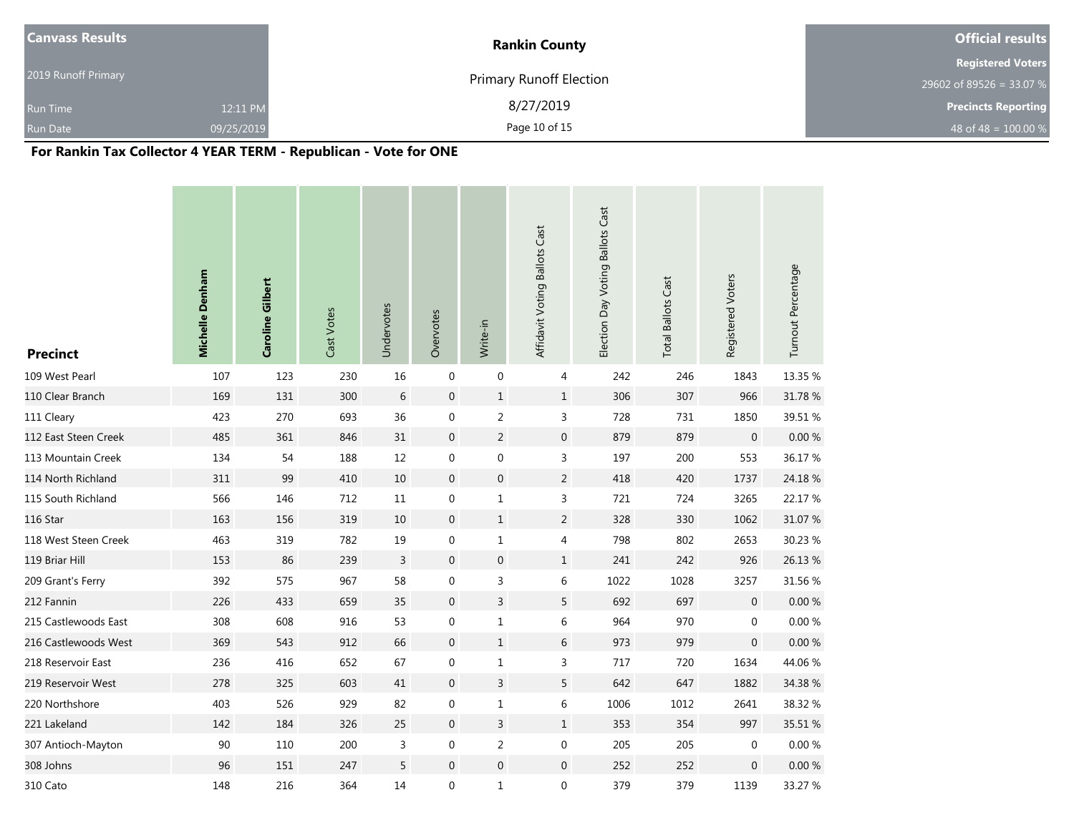| <b>Canvass Results</b> |            | <b>Rankin County</b>           | <b>Official results</b>    |
|------------------------|------------|--------------------------------|----------------------------|
|                        |            |                                | <b>Registered Voters</b>   |
| 2019 Runoff Primary    |            | <b>Primary Runoff Election</b> | 29602 of 89526 = 33.07 %   |
| <b>Run Time</b>        | 12:11 PM   | 8/27/2019                      | <b>Precincts Reporting</b> |
| <b>Run Date</b>        | 09/25/2019 | Page 10 of 15                  | 48 of 48 = $100.00\%$      |

# **For Rankin Tax Collector 4 YEAR TERM - Republican - Vote for ONE**

| <b>Precinct</b>      | Michelle Denham | Caroline Gilbert | Cast Votes | Undervotes     | Overvotes        | Write-in         | Affidavit Voting Ballots Cast | Election Day Voting Ballots Cast | <b>Total Ballots Cast</b> | Registered Voters | Turnout Percentage |
|----------------------|-----------------|------------------|------------|----------------|------------------|------------------|-------------------------------|----------------------------------|---------------------------|-------------------|--------------------|
| 109 West Pearl       | 107             | 123              | 230        | 16             | $\mathbf 0$      | $\boldsymbol{0}$ | 4                             | 242                              | 246                       | 1843              | 13.35 %            |
| 110 Clear Branch     | 169             | 131              | 300        | $\,$ 6 $\,$    | $\boldsymbol{0}$ | $\,1$            | $\mathbf{1}$                  | 306                              | 307                       | 966               | 31.78 %            |
| 111 Cleary           | 423             | 270              | 693        | 36             | $\pmb{0}$        | $\overline{2}$   | 3                             | 728                              | 731                       | 1850              | 39.51 %            |
| 112 East Steen Creek | 485             | 361              | 846        | 31             | $\boldsymbol{0}$ | $\sqrt{2}$       | $\boldsymbol{0}$              | 879                              | 879                       | $\mathbf 0$       | $0.00 \%$          |
| 113 Mountain Creek   | 134             | 54               | 188        | 12             | $\pmb{0}$        | $\boldsymbol{0}$ | 3                             | 197                              | 200                       | 553               | 36.17%             |
| 114 North Richland   | 311             | 99               | 410        | 10             | $\pmb{0}$        | $\boldsymbol{0}$ | $\overline{2}$                | 418                              | 420                       | 1737              | 24.18%             |
| 115 South Richland   | 566             | 146              | 712        | $11\,$         | $\boldsymbol{0}$ | $\mathbf{1}$     | 3                             | 721                              | 724                       | 3265              | 22.17 %            |
| 116 Star             | 163             | 156              | 319        | 10             | $\mathbf 0$      | $\mathbf 1$      | $\overline{c}$                | 328                              | 330                       | 1062              | 31.07 %            |
| 118 West Steen Creek | 463             | 319              | 782        | 19             | $\boldsymbol{0}$ | $\mathbf 1$      | 4                             | 798                              | 802                       | 2653              | 30.23 %            |
| 119 Briar Hill       | 153             | 86               | 239        | $\overline{3}$ | $\pmb{0}$        | $\boldsymbol{0}$ | $1\,$                         | 241                              | 242                       | 926               | 26.13 %            |
| 209 Grant's Ferry    | 392             | 575              | 967        | 58             | $\mathbf 0$      | $\mathsf{3}$     | 6                             | 1022                             | 1028                      | 3257              | 31.56 %            |
| 212 Fannin           | 226             | 433              | 659        | 35             | $\pmb{0}$        | $\mathsf 3$      | 5                             | 692                              | 697                       | $\mathbf 0$       | $0.00\ \%$         |
| 215 Castlewoods East | 308             | 608              | 916        | 53             | $\pmb{0}$        | $\mathbf{1}$     | 6                             | 964                              | 970                       | $\mathbf 0$       | $0.00\ \%$         |
| 216 Castlewoods West | 369             | 543              | 912        | 66             | $\mathbf 0$      | $\mathbf{1}$     | 6                             | 973                              | 979                       | $\mathbf 0$       | 0.00%              |
| 218 Reservoir East   | 236             | 416              | 652        | 67             | $\boldsymbol{0}$ | $\mathbf{1}$     | 3                             | 717                              | 720                       | 1634              | 44.06 %            |
| 219 Reservoir West   | 278             | 325              | 603        | 41             | $\mathbf 0$      | $\mathsf{3}$     | 5                             | 642                              | 647                       | 1882              | 34.38 %            |
| 220 Northshore       | 403             | 526              | 929        | 82             | $\boldsymbol{0}$ | $\mathbf 1$      | 6                             | 1006                             | 1012                      | 2641              | 38.32 %            |
| 221 Lakeland         | 142             | 184              | 326        | 25             | $\boldsymbol{0}$ | $\mathsf{3}$     | $\mathbf{1}$                  | 353                              | 354                       | 997               | 35.51 %            |
| 307 Antioch-Mayton   | $90\,$          | 110              | 200        | 3              | $\boldsymbol{0}$ | $\mathsf{2}\,$   | $\boldsymbol{0}$              | 205                              | 205                       | $\pmb{0}$         | $0.00~\%$          |
| 308 Johns            | 96              | 151              | 247        | 5              | $\boldsymbol{0}$ | $\mathbf 0$      | $\mathbf 0$                   | 252                              | 252                       | $\mathbf 0$       | $0.00\ \%$         |
| 310 Cato             | 148             | 216              | 364        | 14             | $\mathbf 0$      | $1\,$            | 0                             | 379                              | 379                       | 1139              | 33.27 %            |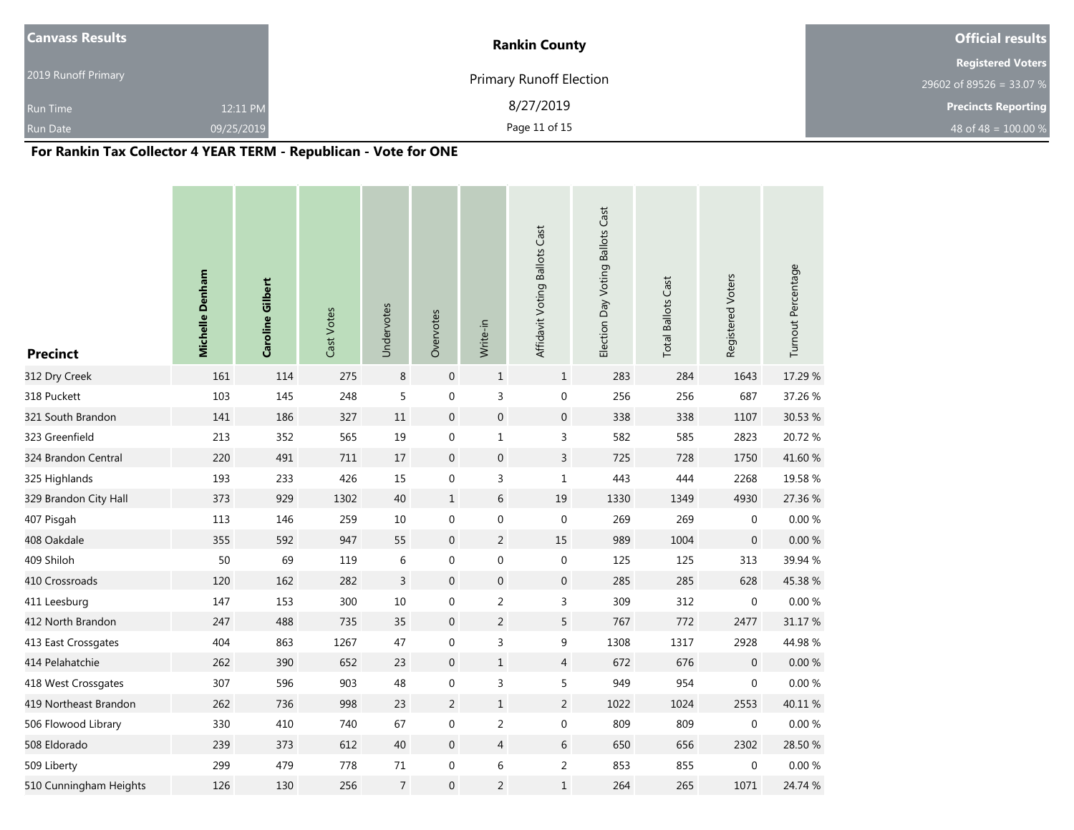| <b>Canvass Results</b> |            | <b>Rankin County</b>           | <b>Official results</b>    |
|------------------------|------------|--------------------------------|----------------------------|
|                        |            |                                | <b>Registered Voters</b>   |
| 2019 Runoff Primary    |            | <b>Primary Runoff Election</b> | 29602 of 89526 = 33.07 %   |
| <b>Run Time</b>        | 12:11 PM   | 8/27/2019                      | <b>Precincts Reporting</b> |
| <b>Run Date</b>        | 09/25/2019 | Page 11 of 15                  | 48 of 48 = $100.00\%$      |

# **For Rankin Tax Collector 4 YEAR TERM - Republican - Vote for ONE**

| <b>Precinct</b>        | Michelle Denham | Caroline Gilbert | Cast Votes | Undervotes     | Overvotes        | Write-in                  | Affidavit Voting Ballots Cast | Election Day Voting Ballots Cast | <b>Total Ballots Cast</b> | Registered Voters | Turnout Percentage |
|------------------------|-----------------|------------------|------------|----------------|------------------|---------------------------|-------------------------------|----------------------------------|---------------------------|-------------------|--------------------|
| 312 Dry Creek          | 161             | 114              | 275        | 8              | $\mathbf 0$      | $\mathbf{1}$              | $\mathbf{1}$                  | 283                              | 284                       | 1643              | 17.29 %            |
| 318 Puckett            | 103             | 145              | 248        | $\sqrt{5}$     | $\boldsymbol{0}$ | $\ensuremath{\mathsf{3}}$ | 0                             | 256                              | 256                       | 687               | 37.26 %            |
| 321 South Brandon      | 141             | 186              | 327        | $11\,$         | $\boldsymbol{0}$ | $\mathbf 0$               | $\boldsymbol{0}$              | 338                              | 338                       | 1107              | 30.53 %            |
| 323 Greenfield         | 213             | 352              | 565        | 19             | $\boldsymbol{0}$ | $1\,$                     | 3                             | 582                              | 585                       | 2823              | 20.72 %            |
| 324 Brandon Central    | 220             | 491              | 711        | 17             | $\mathbf 0$      | $\mathbf{0}$              | $\overline{3}$                | 725                              | 728                       | 1750              | 41.60 %            |
| 325 Highlands          | 193             | 233              | 426        | 15             | $\boldsymbol{0}$ | $\mathsf 3$               | $\mathbf 1$                   | 443                              | 444                       | 2268              | 19.58 %            |
| 329 Brandon City Hall  | 373             | 929              | 1302       | 40             | $\mathbf{1}$     | 6                         | $19\,$                        | 1330                             | 1349                      | 4930              | 27.36 %            |
| 407 Pisgah             | 113             | 146              | 259        | 10             | $\boldsymbol{0}$ | $\boldsymbol{0}$          | $\boldsymbol{0}$              | 269                              | 269                       | $\mathbf 0$       | $0.00\ \%$         |
| 408 Oakdale            | 355             | 592              | 947        | 55             | $\mathbf 0$      | $\overline{2}$            | 15                            | 989                              | 1004                      | $\boldsymbol{0}$  | $0.00 \%$          |
| 409 Shiloh             | 50              | 69               | 119        | 6              | $\mathbf 0$      | $\boldsymbol{0}$          | 0                             | 125                              | 125                       | 313               | 39.94 %            |
| 410 Crossroads         | 120             | 162              | 282        | $\overline{3}$ | $\boldsymbol{0}$ | $\boldsymbol{0}$          | $\boldsymbol{0}$              | 285                              | 285                       | 628               | 45.38%             |
| 411 Leesburg           | 147             | 153              | 300        | 10             | $\mathbf 0$      | $\overline{c}$            | 3                             | 309                              | 312                       | $\mathbf 0$       | 0.00%              |
| 412 North Brandon      | 247             | 488              | 735        | 35             | $\mathbf 0$      | $\overline{2}$            | 5                             | 767                              | 772                       | 2477              | 31.17 %            |
| 413 East Crossgates    | 404             | 863              | 1267       | 47             | 0                | 3                         | 9                             | 1308                             | 1317                      | 2928              | 44.98%             |
| 414 Pelahatchie        | 262             | 390              | 652        | 23             | $\mathbf 0$      | $1\,$                     | $\overline{4}$                | 672                              | 676                       | $\mathbf 0$       | $0.00\ \%$         |
| 418 West Crossgates    | 307             | 596              | 903        | 48             | $\boldsymbol{0}$ | 3                         | 5                             | 949                              | 954                       | $\boldsymbol{0}$  | 0.00%              |
| 419 Northeast Brandon  | 262             | 736              | 998        | 23             | $\overline{2}$   | $\mathbf{1}$              | $\overline{2}$                | 1022                             | 1024                      | 2553              | 40.11 %            |
| 506 Flowood Library    | 330             | 410              | 740        | 67             | $\boldsymbol{0}$ | $\overline{2}$            | 0                             | 809                              | 809                       | $\mathbf 0$       | $0.00 \%$          |
| 508 Eldorado           | 239             | 373              | 612        | 40             | $\mathbf 0$      | $\overline{4}$            | 6                             | 650                              | 656                       | 2302              | 28.50 %            |
| 509 Liberty            | 299             | 479              | 778        | 71             | $\pmb{0}$        | 6                         | 2                             | 853                              | 855                       | $\mathbf 0$       | $0.00 \%$          |
| 510 Cunningham Heights | 126             | 130              | 256        | $\overline{7}$ | $\mathbf 0$      | $\sqrt{2}$                | $\mathbf 1$                   | 264                              | 265                       | 1071              | 24.74 %            |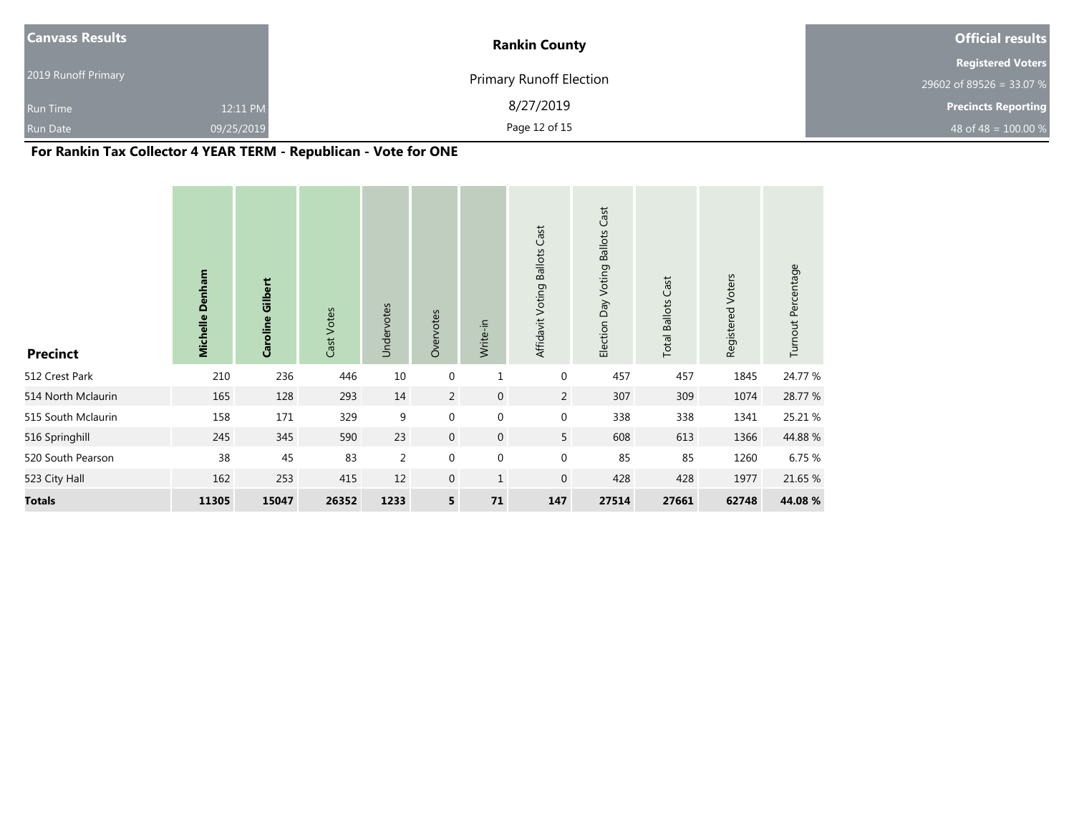| <b>Canvass Results</b> |            | <b>Rankin County</b>           | <b>Official results</b>    |
|------------------------|------------|--------------------------------|----------------------------|
|                        |            |                                | <b>Registered Voters</b>   |
| 2019 Runoff Primary    |            | <b>Primary Runoff Election</b> | 29602 of 89526 = 33.07 %   |
| <b>Run Time</b>        | 12:11 PM   | 8/27/2019                      | <b>Precincts Reporting</b> |
| Run Date               | 09/25/2019 | Page 12 of 15                  | 48 of 48 = $100.00\%$      |

# **For Rankin Tax Collector 4 YEAR TERM - Republican - Vote for ONE**

| <b>Precinct</b>    | Michelle Denham | Caroline Gilbert | Cast Votes | Undervotes     | Overvotes      | Write-in         | Affidavit Voting Ballots Cast | Cast<br>Election Day Voting Ballots | <b>Total Ballots Cast</b> | Registered Voters | Turnout Percentage |
|--------------------|-----------------|------------------|------------|----------------|----------------|------------------|-------------------------------|-------------------------------------|---------------------------|-------------------|--------------------|
| 512 Crest Park     | 210             | 236              | 446        | 10             | $\mathbf 0$    | $\mathbf{1}$     | $\boldsymbol{0}$              | 457                                 | 457                       | 1845              | 24.77 %            |
| 514 North Mclaurin | 165             | 128              | 293        | 14             | $\overline{2}$ | $\mathbf 0$      | $\overline{2}$                | 307                                 | 309                       | 1074              | 28.77 %            |
| 515 South Mclaurin | 158             | 171              | 329        | 9              | $\mathbf 0$    | $\mathbf 0$      | $\boldsymbol{0}$              | 338                                 | 338                       | 1341              | 25.21 %            |
| 516 Springhill     | 245             | 345              | 590        | 23             | $\overline{0}$ | $\mathbf 0$      | 5 <sup>5</sup>                | 608                                 | 613                       | 1366              | 44.88%             |
| 520 South Pearson  | 38              | 45               | 83         | $\overline{2}$ | $\mathbf 0$    | $\boldsymbol{0}$ | $\boldsymbol{0}$              | 85                                  | 85                        | 1260              | 6.75 %             |
| 523 City Hall      | 162             | 253              | 415        | 12             | $\mathbf{0}$   | $\mathbf{1}$     | $\mathbf 0$                   | 428                                 | 428                       | 1977              | 21.65 %            |
| <b>Totals</b>      | 11305           | 15047            | 26352      | 1233           | 5              | 71               | 147                           | 27514                               | 27661                     | 62748             | 44.08 %            |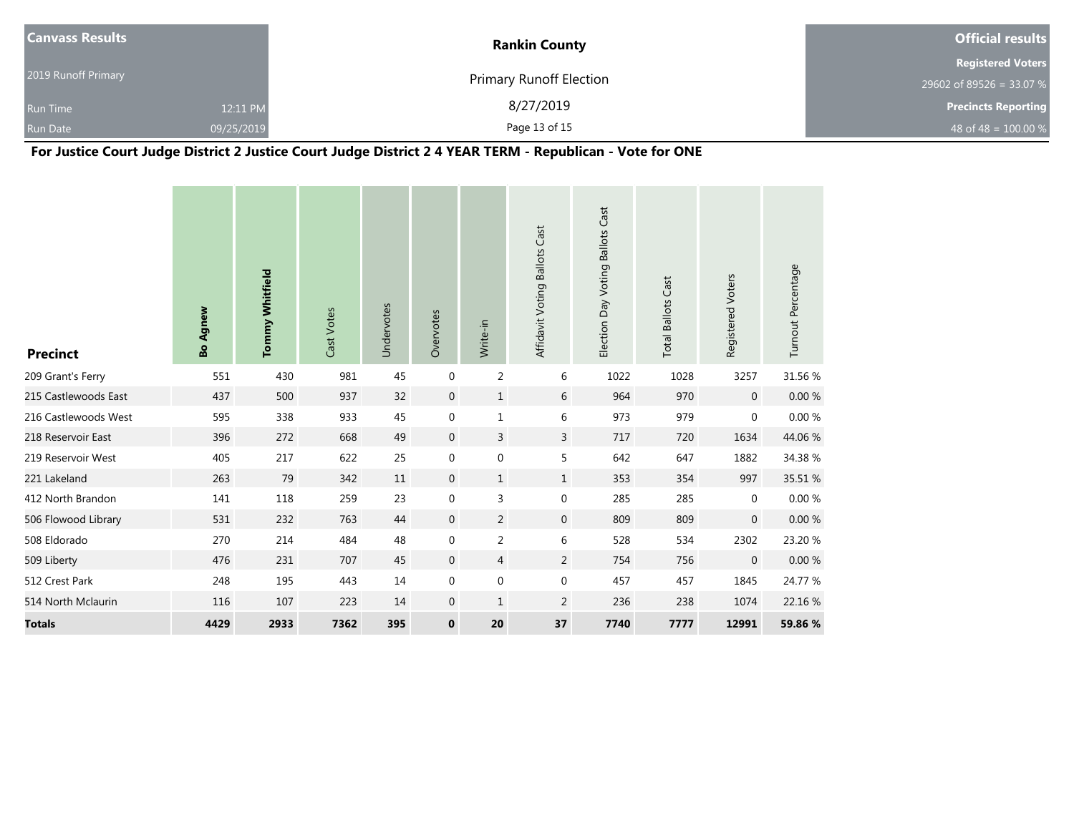| <b>Canvass Results</b> |            | <b>Rankin County</b>           | <b>Official results</b>    |  |  |
|------------------------|------------|--------------------------------|----------------------------|--|--|
|                        |            |                                | <b>Registered Voters</b>   |  |  |
| 2019 Runoff Primary    |            | <b>Primary Runoff Election</b> | 29602 of 89526 = 33.07 %   |  |  |
| <b>Run Time</b>        | 12:11 PM   | 8/27/2019                      | <b>Precincts Reporting</b> |  |  |
| <b>Run Date</b>        | 09/25/2019 | Page 13 of 15                  | 48 of 48 = $100.00\%$      |  |  |

# **For Justice Court Judge District 2 Justice Court Judge District 2 4 YEAR TERM - Republican - Vote for ONE**

| <b>Precinct</b>      | <b>Bo Agnew</b> | <b>Tommy Whitfield</b> | Cast Votes | Undervotes | Overvotes      | Write-in         | Affidavit Voting Ballots Cast | Election Day Voting Ballots Cast | <b>Total Ballots Cast</b> | Registered Voters | Turnout Percentage |
|----------------------|-----------------|------------------------|------------|------------|----------------|------------------|-------------------------------|----------------------------------|---------------------------|-------------------|--------------------|
| 209 Grant's Ferry    | 551             | 430                    | 981        | 45         | $\mathbf 0$    | $\overline{c}$   | 6                             | 1022                             | 1028                      | 3257              | 31.56 %            |
| 215 Castlewoods East | 437             | 500                    | 937        | 32         | $\mathbf 0$    | $\mathbf{1}$     | 6                             | 964                              | 970                       | $\mathbf 0$       | 0.00%              |
| 216 Castlewoods West | 595             | 338                    | 933        | 45         | $\mathbf 0$    | $\mathbf 1$      | 6                             | 973                              | 979                       | $\mathbf 0$       | $0.00\ \%$         |
| 218 Reservoir East   | 396             | 272                    | 668        | 49         | $\mathbf 0$    | 3                | 3                             | 717                              | 720                       | 1634              | 44.06%             |
| 219 Reservoir West   | 405             | 217                    | 622        | 25         | 0              | $\mathbf 0$      | 5                             | 642                              | 647                       | 1882              | 34.38 %            |
| 221 Lakeland         | 263             | 79                     | 342        | 11         | $\overline{0}$ | $\mathbf{1}$     | $\mathbf{1}$                  | 353                              | 354                       | 997               | 35.51 %            |
| 412 North Brandon    | 141             | 118                    | 259        | 23         | $\mathbf 0$    | 3                | $\mathbf 0$                   | 285                              | 285                       | $\mathbf 0$       | $0.00\ \%$         |
| 506 Flowood Library  | 531             | 232                    | 763        | 44         | $\mathbf 0$    | $\overline{2}$   | $\boldsymbol{0}$              | 809                              | 809                       | $\mathbf 0$       | $0.00 \%$          |
| 508 Eldorado         | 270             | 214                    | 484        | 48         | $\mathbf 0$    | $\overline{c}$   | 6                             | 528                              | 534                       | 2302              | 23.20 %            |
| 509 Liberty          | 476             | 231                    | 707        | 45         | $\mathbf{0}$   | $\overline{4}$   | $\overline{2}$                | 754                              | 756                       | $\overline{0}$    | 0.00%              |
| 512 Crest Park       | 248             | 195                    | 443        | 14         | 0              | $\boldsymbol{0}$ | $\boldsymbol{0}$              | 457                              | 457                       | 1845              | 24.77 %            |
| 514 North Mclaurin   | 116             | 107                    | 223        | 14         | $\overline{0}$ | $\mathbf{1}$     | 2                             | 236                              | 238                       | 1074              | 22.16 %            |
| <b>Totals</b>        | 4429            | 2933                   | 7362       | 395        | $\mathbf 0$    | 20               | 37                            | 7740                             | 7777                      | 12991             | 59.86 %            |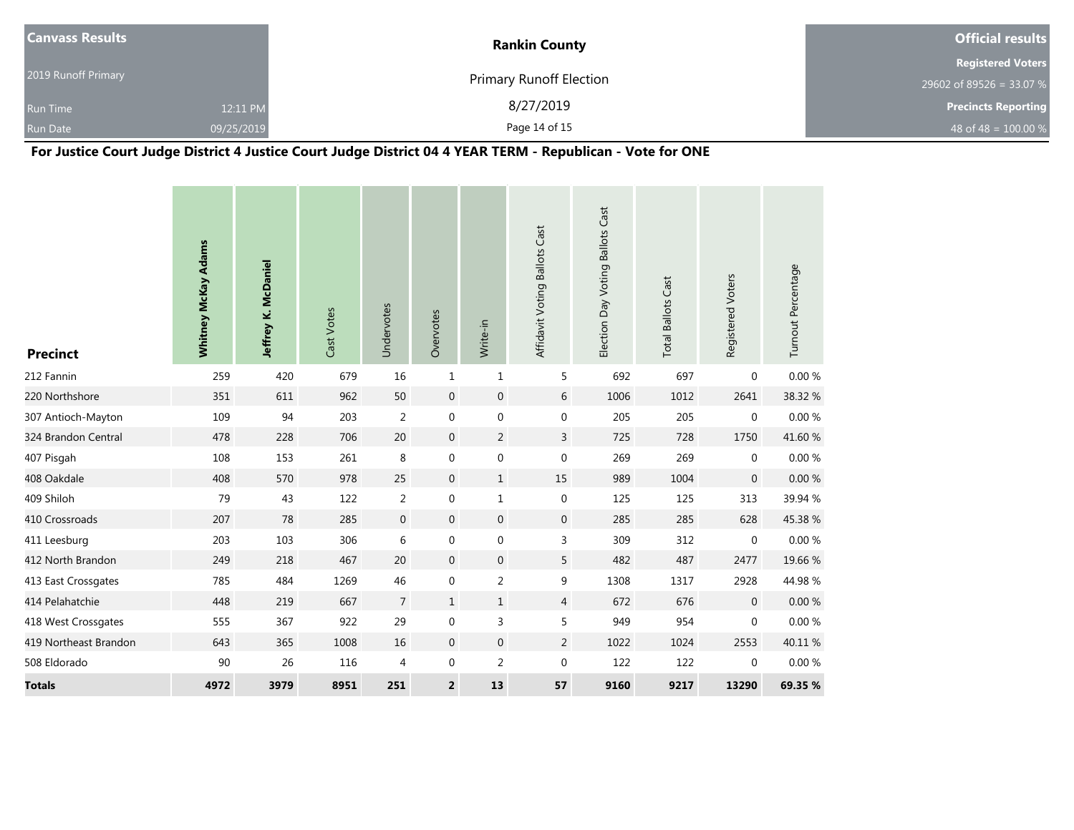| <b>Canvass Results</b> |            | <b>Rankin County</b>           | <b>Official results</b>    |  |  |
|------------------------|------------|--------------------------------|----------------------------|--|--|
|                        |            |                                | <b>Registered Voters</b>   |  |  |
| 2019 Runoff Primary    |            | <b>Primary Runoff Election</b> | 29602 of 89526 = 33.07 %   |  |  |
| <b>Run Time</b>        | 12:11 PM   | 8/27/2019                      | <b>Precincts Reporting</b> |  |  |
| <b>Run Date</b>        | 09/25/2019 | Page 14 of 15                  | 48 of 48 = $100.00\%$      |  |  |

# **For Justice Court Judge District 4 Justice Court Judge District 04 4 YEAR TERM - Republican - Vote for ONE**

| <b>Precinct</b>       | Whitney McKay Adams | Jeffrey K. McDaniel | Cast Votes | Undervotes     | Overvotes               | Write-in         | Affidavit Voting Ballots Cast | Election Day Voting Ballots Cast | <b>Total Ballots Cast</b> | Registered Voters | Turnout Percentage |
|-----------------------|---------------------|---------------------|------------|----------------|-------------------------|------------------|-------------------------------|----------------------------------|---------------------------|-------------------|--------------------|
| 212 Fannin            | 259                 | 420                 | 679        | 16             | $\mathbf{1}$            | $\mathbf{1}$     | 5                             | 692                              | 697                       | $\mathbf{0}$      | 0.00 %             |
| 220 Northshore        | 351                 | 611                 | 962        | 50             | $\overline{0}$          | $\boldsymbol{0}$ | 6                             | 1006                             | 1012                      | 2641              | 38.32 %            |
| 307 Antioch-Mayton    | 109                 | 94                  | 203        | $\overline{2}$ | $\boldsymbol{0}$        | $\boldsymbol{0}$ | $\boldsymbol{0}$              | 205                              | 205                       | $\boldsymbol{0}$  | $0.00\ \%$         |
| 324 Brandon Central   | 478                 | 228                 | 706        | 20             | $\boldsymbol{0}$        | $\overline{2}$   | $\overline{3}$                | 725                              | 728                       | 1750              | 41.60 %            |
| 407 Pisgah            | 108                 | 153                 | 261        | $\,8\,$        | $\boldsymbol{0}$        | $\boldsymbol{0}$ | $\boldsymbol{0}$              | 269                              | 269                       | $\mathbf 0$       | $0.00\ \%$         |
| 408 Oakdale           | 408                 | 570                 | 978        | 25             | $\overline{0}$          | $\mathbf{1}$     | 15                            | 989                              | 1004                      | $\mathbf 0$       | $0.00 \%$          |
| 409 Shiloh            | 79                  | 43                  | 122        | $\overline{2}$ | $\boldsymbol{0}$        | $1\,$            | $\boldsymbol{0}$              | 125                              | 125                       | 313               | 39.94 %            |
| 410 Crossroads        | 207                 | 78                  | 285        | $\mathbf 0$    | $\overline{0}$          | $\boldsymbol{0}$ | $\mathbf{0}$                  | 285                              | 285                       | 628               | 45.38%             |
| 411 Leesburg          | 203                 | 103                 | 306        | $\,6\,$        | 0                       | $\boldsymbol{0}$ | 3                             | 309                              | 312                       | $\boldsymbol{0}$  | $0.00\ \%$         |
| 412 North Brandon     | 249                 | 218                 | 467        | 20             | $\mathbf{0}$            | $\boldsymbol{0}$ | 5                             | 482                              | 487                       | 2477              | 19.66 %            |
| 413 East Crossgates   | 785                 | 484                 | 1269       | 46             | 0                       | $\overline{2}$   | 9                             | 1308                             | 1317                      | 2928              | 44.98%             |
| 414 Pelahatchie       | 448                 | 219                 | 667        | $\overline{7}$ | $\mathbf{1}$            | $\mathbf{1}$     | $\overline{4}$                | 672                              | 676                       | $\mathbf{0}$      | 0.00%              |
| 418 West Crossgates   | 555                 | 367                 | 922        | 29             | 0                       | $\overline{3}$   | 5                             | 949                              | 954                       | $\mathbf 0$       | 0.00 %             |
| 419 Northeast Brandon | 643                 | 365                 | 1008       | 16             | $\overline{0}$          | $\boldsymbol{0}$ | $\overline{2}$                | 1022                             | 1024                      | 2553              | 40.11%             |
| 508 Eldorado          | 90                  | 26                  | 116        | $\overline{4}$ | $\boldsymbol{0}$        | $\overline{2}$   | $\boldsymbol{0}$              | 122                              | 122                       | $\mathbf 0$       | 0.00%              |
| <b>Totals</b>         | 4972                | 3979                | 8951       | 251            | $\overline{\mathbf{c}}$ | 13               | 57                            | 9160                             | 9217                      | 13290             | 69.35 %            |